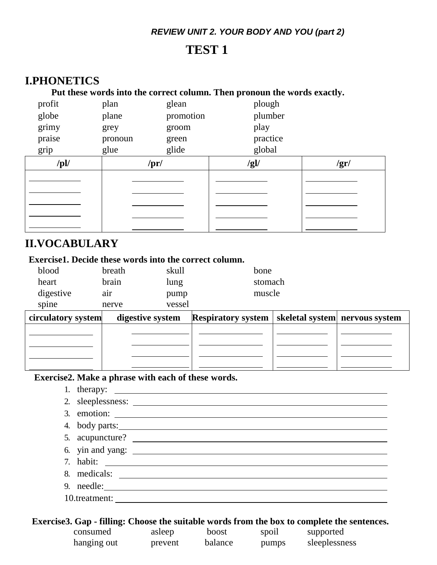#### *REVIEW UNIT 2. YOUR BODY AND YOU (part 2)*

# **TEST 1**

# **I.PHONETICS**

#### **Put these words into the correct column. Then pronoun the words exactly.**

| profit      | plan    | glean     | plough   |              |
|-------------|---------|-----------|----------|--------------|
| globe       | plane   | promotion | plumber  |              |
| grimy       | grey    | groom     | play     |              |
| praise      | pronoun | green     | practice |              |
| grip        | glue    | glide     | global   |              |
| $\sqrt{pl}$ | /pr/    |           | /gl/     | $\sqrt{gr/}$ |
|             |         |           |          |              |
|             |         |           |          |              |
|             |         |           |          |              |
|             |         |           |          |              |
|             |         |           |          |              |

## **II.VOCABULARY**

## **Exercise1. Decide these words into the correct column.**

| blood     | breath | skull  | bone    |
|-----------|--------|--------|---------|
| heart     | brain  | lung   | stomach |
| digestive | air    | pump   | muscle  |
| spine     | nerve  | vessel |         |

| circulatory system | digestive system | <b>Respiratory system</b>   skeletal system   nervous system |  |
|--------------------|------------------|--------------------------------------------------------------|--|
|                    |                  |                                                              |  |
|                    |                  |                                                              |  |
|                    |                  |                                                              |  |
|                    |                  |                                                              |  |

#### **Exercise2. Make a phrase with each of these words.**

1. therapy:

| 4. body parts:             |
|----------------------------|
| 5. acupuncture?            |
|                            |
|                            |
|                            |
| 9. needle: $\qquad \qquad$ |
|                            |
|                            |

#### **Exercise3. Gap - filling: Choose the suitable words from the box to complete the sentences.**

| consumed    | asleep  | boost   | spoil | supported     |
|-------------|---------|---------|-------|---------------|
| hanging out | prevent | balance | pumps | sleeplessness |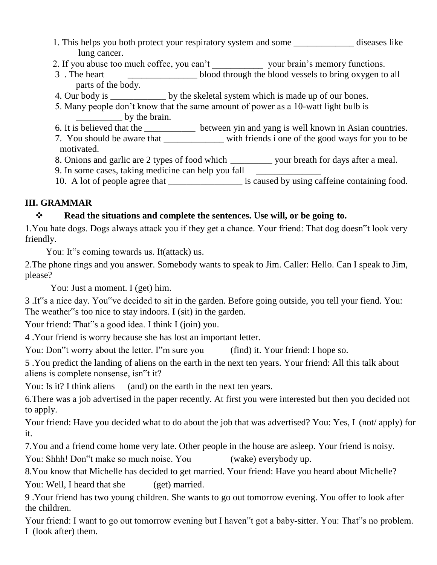- 1. This helps you both protect your respiratory system and some \_\_\_\_\_\_\_\_\_\_\_\_\_ diseases like lung cancer.
- 2. If you abuse too much coffee, you can't \_\_\_\_\_\_\_\_\_\_\_\_\_\_ your brain's memory functions.
- 3 . The heart blood through the blood vessels to bring oxygen to all parts of the body.
- 4. Our body is \_\_\_\_\_\_\_\_\_\_\_\_\_\_ by the skeletal system which is made up of our bones.
- 5. Many people don't know that the same amount of power as a 10-watt light bulb is by the brain.
- 6. It is believed that the \_\_\_\_\_\_\_\_\_\_\_ between yin and yang is well known in Asian countries.
- 7. You should be aware that with friends i one of the good ways for you to be motivated.
- 8. Onions and garlic are 2 types of food which \_\_\_\_\_\_\_\_\_ your breath for days after a meal.
- 9. In some cases, taking medicine can help you fall
- 10. A lot of people agree that \_\_\_\_\_\_\_\_\_\_\_\_\_\_\_\_\_\_ is caused by using caffeine containing food.

## **III. GRAMMAR**

## **Read the situations and complete the sentences. Use will, or be going to.**

1.You hate dogs. Dogs always attack you if they get a chance. Your friend: That dog doesn"t look very friendly.

You: It"s coming towards us. It(attack) us.

2.The phone rings and you answer. Somebody wants to speak to Jim. Caller: Hello. Can I speak to Jim, please?

You: Just a moment. I (get) him.

3 .It"s a nice day. You"ve decided to sit in the garden. Before going outside, you tell your fiend. You: The weather"s too nice to stay indoors. I (sit) in the garden.

Your friend: That"s a good idea. I think I (join) you.

4 .Your friend is worry because she has lost an important letter.

You: Don"t worry about the letter. I''m sure you (find) it. Your friend: I hope so.

5 .You predict the landing of aliens on the earth in the next ten years. Your friend: All this talk about aliens is complete nonsense, isn"t it?

You: Is it? I think aliens (and) on the earth in the next ten years.

6.There was a job advertised in the paper recently. At first you were interested but then you decided not to apply.

Your friend: Have you decided what to do about the job that was advertised? You: Yes, I (not/ apply) for it.

7.You and a friend come home very late. Other people in the house are asleep. Your friend is noisy.

You: Shhh! Don"t make so much noise. You (wake) everybody up.

8.You know that Michelle has decided to get married. Your friend: Have you heard about Michelle? You: Well, I heard that she (get) married.

9 .Your friend has two young children. She wants to go out tomorrow evening. You offer to look after the children.

Your friend: I want to go out tomorrow evening but I haven"t got a baby-sitter. You: That"s no problem. I (look after) them.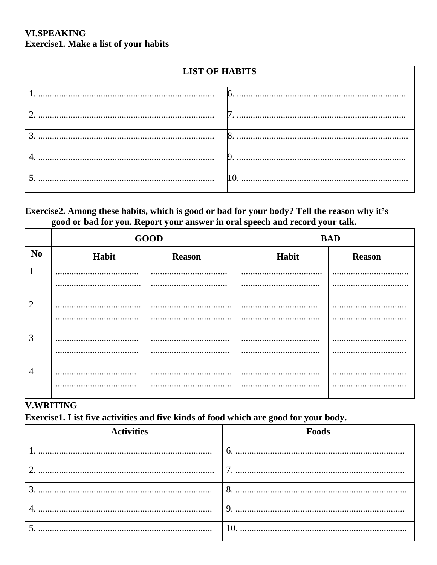## **VLSPEAKING** Exercise1. Make a list of your habits

| <b>LIST OF HABITS</b> |   |  |  |
|-----------------------|---|--|--|
|                       |   |  |  |
| ി                     | n |  |  |
| 3                     | 8 |  |  |
|                       | 9 |  |  |
|                       |   |  |  |

### Exercise2. Among these habits, which is good or bad for your body? Tell the reason why it's good or bad for you. Report your answer in oral speech and record your talk.

|                | <b>GOOD</b> |               | <b>BAD</b> |               |  |
|----------------|-------------|---------------|------------|---------------|--|
| N <sub>0</sub> | Habit       | <b>Reason</b> | Habit      | <b>Reason</b> |  |
|                |             |               |            |               |  |
|                |             |               |            |               |  |
| $\overline{2}$ |             | .             |            |               |  |
|                |             |               |            |               |  |
| 3              |             |               |            |               |  |
|                |             |               |            |               |  |
| 4              |             |               |            |               |  |
|                |             |               |            |               |  |

## **V.WRITING**

Exercise1. List five activities and five kinds of food which are good for your body.

| <b>Activities</b> | Foods           |
|-------------------|-----------------|
|                   | 6.              |
|                   | $\mathbf{\tau}$ |
|                   | 8               |
|                   | 9               |
|                   | 10.             |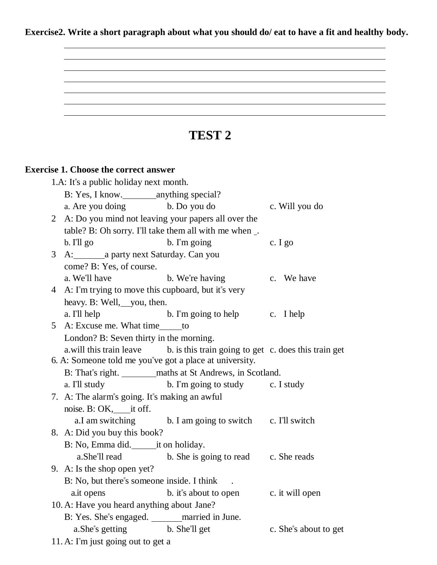**Exercise2. Write a short paragraph about what you should do/ eat to have a fit and healthy body.**

# **TEST 2 Exercise 1. Choose the correct answer** 1.A: It"s a public holiday next month. B: Yes, I know. anything special? a. Are you doing b. Do you do c. Will you do 2 A: Do you mind not leaving your papers all over the table? B: Oh sorry. I'll take them all with me when \_. b. I'll go b. I'm going c. I go 3 A: a party next Saturday. Can you come? B: Yes, of course. a. We'll have b. We're having c. We have 4 A: I"m trying to move this cupboard, but it"s very heavy. B: Well, you, then. a. I'll help  $\qquad \qquad$  b. I'm going to help  $\qquad \qquad$  c. I help 5 A: Excuse me. What time to London? B: Seven thirty in the morning. a.will this train leave b. is this train going to get c. does this train get 6. A: Someone told me you"ve got a place at university. B: That"s right. maths at St Andrews, in Scotland. a. I'll study b. I'm going to study c. I study 7. A: The alarm"s going. It"s making an awful noise. B: OK, \_\_\_\_\_\_ it off. a.I am switching b. I am going to switch c. I'll switch 8. A: Did you buy this book? B: No, Emma did. it on holiday. a.She"ll read b. She is going to read c. She reads 9. A: Is the shop open yet? B: No, but there's someone inside. I think a.it opens b. it should be seen by a statement of the state of the state of the state of the state of the state of the state of the state of the state of the state of the state of the state of the state of the state of the 10. A: Have you heard anything about Jane? B: Yes. She"s engaged. married in June. a. She''s getting b. She''ll get c. She''s about to get 11. A: I"m just going out to get a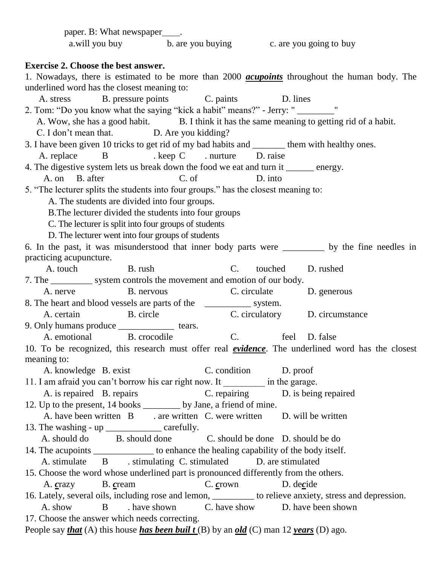| paper. B: What newspaper _____.                                                                                   |
|-------------------------------------------------------------------------------------------------------------------|
| a.will you buy b. are you buying c. are you going to buy                                                          |
|                                                                                                                   |
| <b>Exercise 2. Choose the best answer.</b>                                                                        |
| 1. Nowadays, there is estimated to be more than 2000 <i>acupoints</i> throughout the human body. The              |
| underlined word has the closest meaning to:                                                                       |
| A. stress B. pressure points C. paints D. lines                                                                   |
| 2. Tom: "Do you know what the saying "kick a habit" means?" - Jerry: "                                            |
| A. Wow, she has a good habit. B. I think it has the same meaning to getting rid of a habit.                       |
| C. I don't mean that. D. Are you kidding?                                                                         |
| 3. I have been given 10 tricks to get rid of my bad habits and _______ them with healthy ones.                    |
| A. replace B . keep C . nurture D. raise                                                                          |
| 4. The digestive system lets us break down the food we eat and turn it ______ energy.                             |
| A. on B. after<br>C. of<br>D. into                                                                                |
| 5. "The lecturer splits the students into four groups." has the closest meaning to:                               |
| A. The students are divided into four groups.                                                                     |
| B. The lecturer divided the students into four groups                                                             |
| C. The lecturer is split into four groups of students                                                             |
| D. The lecturer went into four groups of students                                                                 |
| 6. In the past, it was misunderstood that inner body parts were ______ by the fine needles in                     |
| practicing acupuncture.                                                                                           |
| B. rush<br>A. touch<br>touched<br>D. rushed<br>$C_{\cdot}$                                                        |
| 7. The ___________ system controls the movement and emotion of our body.                                          |
| A. nerve B. nervous<br>C. circulate D. generous                                                                   |
| 8. The heart and blood vessels are parts of the ________________ system.                                          |
| C. circulatory D. circumstance<br>B. circle<br>A. certain                                                         |
| 9. Only humans produce ______________ tears.                                                                      |
| A. emotional B. crocodile<br>C.<br>feel D. false                                                                  |
| 10. To be recognized, this research must offer real <i>evidence</i> . The underlined word has the closest         |
| meaning to:                                                                                                       |
| A. knowledge B. exist<br>C. condition D. proof                                                                    |
| 11. I am afraid you can't borrow his car right now. It __________ in the garage.                                  |
| A. is repaired B. repairs<br>C. repairing D. is being repaired                                                    |
| 12. Up to the present, 14 books _________ by Jane, a friend of mine.                                              |
| A. have been written B . are written C. were written D. will be written                                           |
| 13. The washing - up ____________________ carefully.                                                              |
| A. should do B. should done C. should be done D. should be do                                                     |
| 14. The acupoints _______________ to enhance the healing capability of the body itself.                           |
| A. stimulate B stimulating C. stimulated D. are stimulated                                                        |
| 15. Choose the word whose underlined part is pronounced differently from the others.                              |
| C. crown D. decide<br>B. cream<br>A. crazy                                                                        |
| 16. Lately, several oils, including rose and lemon, ________ to relieve anxiety, stress and depression.           |
| have shown C. have show D. have been shown<br>A. show<br>B                                                        |
| 17. Choose the answer which needs correcting.                                                                     |
| People say <i>that</i> (A) this house <i>has been built</i> (B) by an <i>old</i> (C) man 12 <i>years</i> (D) ago. |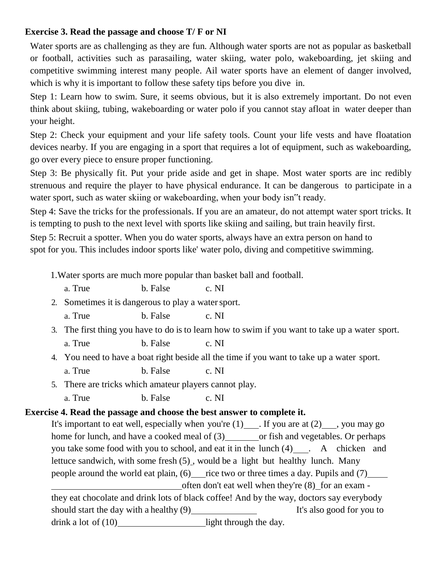## **Exercise 3. Read the passage and choose T/ F or NI**

Water sports are as challenging as they are fun. Although water sports are not as popular as basketball or football, activities such as parasailing, water skiing, water polo, wakeboarding, jet skiing and competitive swimming interest many people. Ail water sports have an element of danger involved, which is why it is important to follow these safety tips before you dive in.

Step 1: Learn how to swim. Sure, it seems obvious, but it is also extremely important. Do not even think about skiing, tubing, wakeboarding or water polo if you cannot stay afloat in water deeper than your height.

Step 2: Check your equipment and your life safety tools. Count your life vests and have floatation devices nearby. If you are engaging in a sport that requires a lot of equipment, such as wakeboarding, go over every piece to ensure proper functioning.

Step 3: Be physically fit. Put your pride aside and get in shape. Most water sports are inc redibly strenuous and require the player to have physical endurance. It can be dangerous to participate in a water sport, such as water skiing or wakeboarding, when your body isn"t ready.

Step 4: Save the tricks for the professionals. If you are an amateur, do not attempt water sport tricks. It is tempting to push to the next level with sports like skiing and sailing, but train heavily first.

Step 5: Recruit a spotter. When you do water sports, always have an extra person on hand to spot for you. This includes indoor sports like' water polo, diving and competitive swimming.

1.Water sports are much more popular than basket ball and football.

- a. True b. False c. NI
- 2. Sometimes it is dangerous to play a water sport.
	- a. True b. False c. NI
- 3. The first thing you have to do is to learn how to swim if you want to take up a water sport. a. True b. False c. NI
- 4. You need to have a boat right beside all the time if you want to take up a water sport. a. True b. False c. NI
- 5. There are tricks which amateur players cannot play.
	- a. True b. False c. NI

### **Exercise 4. Read the passage and choose the best answer to complete it.**

It's important to eat well, especially when you're  $(1)$  . If you are at  $(2)$  , you may go home for lunch, and have a cooked meal of  $(3)$  or fish and vegetables. Or perhaps you take some food with you to school, and eat it in the lunch (4) . A chicken and lettuce sandwich, with some fresh (5) , would be a light but healthy lunch. Many people around the world eat plain,  $(6)$  rice two or three times a day. Pupils and  $(7)$ often don't eat well when they're (8) for an exam they eat chocolate and drink lots of black coffee! And by the way, doctors say everybody should start the day with a healthy (9) It's also good for you to drink a lot of  $(10)$  light through the day.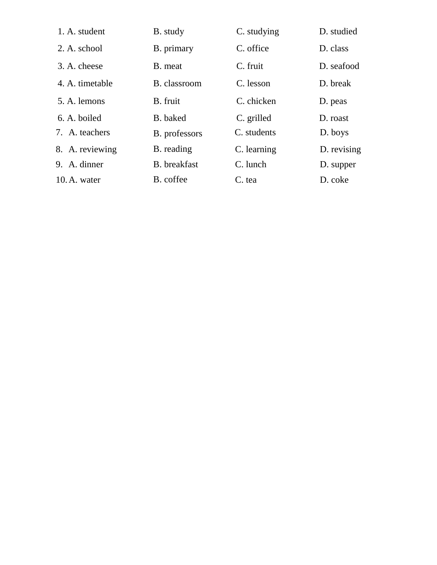| 1. A. student   | B. study      | C. studying | D. studied  |
|-----------------|---------------|-------------|-------------|
| 2. A. school    | B. primary    | C. office   | D. class    |
| 3. A. cheese    | B. meat       | C. fruit    | D. seafood  |
| 4. A. timetable | B. classroom  | C. lesson   | D. break    |
| 5. A. lemons    | B. fruit      | C. chicken  | D. peas     |
| 6. A. boiled    | B. baked      | C. grilled  | D. roast    |
| 7. A. teachers  | B. professors | C. students | D. boys     |
| 8. A. reviewing | B. reading    | C. learning | D. revising |
| 9. A. dinner    | B. breakfast  | C. lunch    | D. supper   |
| 10. A. water    | B. coffee     | C. tea      | D. coke     |